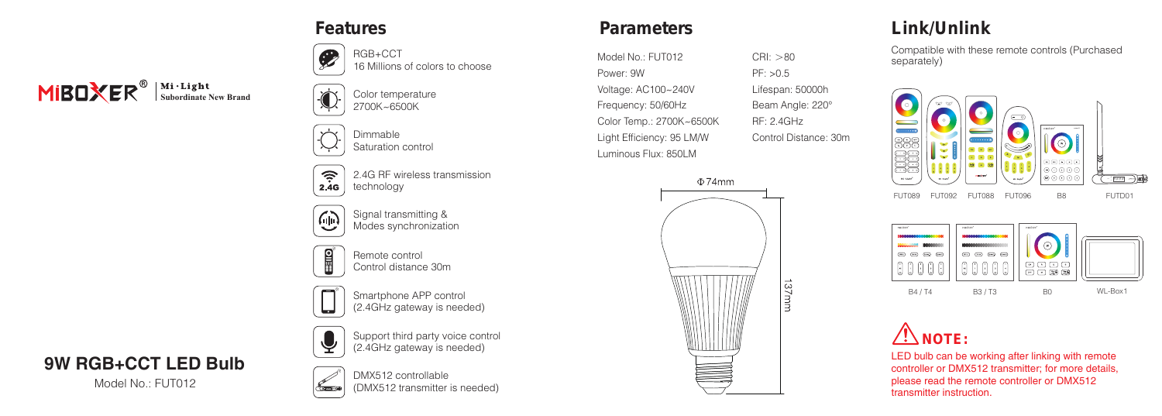# **MIBOXER**<sup><sup>®</sup> Subordinate New Brand</sup>



 $\bullet$ 

Dimmable Saturation control

RGB+CCT

 $\widehat{\tau}$ 2.4G RF wireless transmission technology  $2.4G$ 

16 Millions of colors to choose



Signal transmitting & Modes synchronization



Remote control Control distance 30m

Smartphone APP control (2.4GHz gateway is needed)



**9W RGB+CCT LED Bulb**

Model No.: FUT012



DMX512 controllable (DMX512 transmitter is needed)

Support third party voice control (2.4GHz gateway is needed)

### **Features Parameters**

Model No.: FUT012 Power: 9W Voltage: AC100~240V Frequency: 50/60Hz Color Temp.: 2700K~6500K Light Efficiency: 95 LM/W Luminous Flux: 850LM



 $CRI: >80$ PF: >0.5 Lifespan: 50000h Beam Angle: 220° RF: 2.4GHz Control Distance: 30m

### **Link/Unlink**

Compatible with these remote controls (Purchased separately)







LED bulb can be working after linking with remote controller or DMX512 transmitter; for more details, please read the remote controller or DMX512 transmitter instruction.